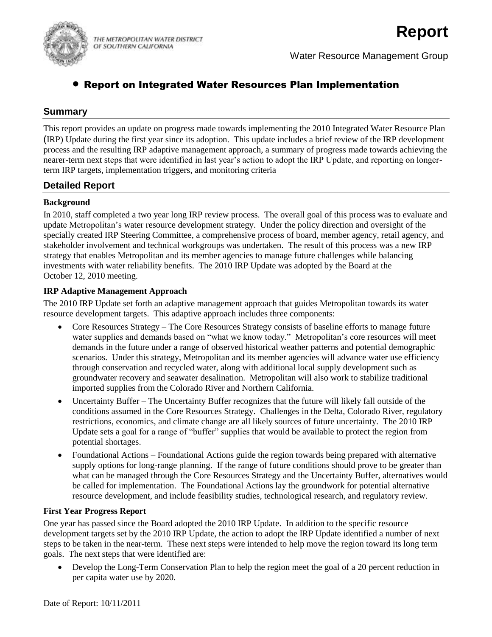

Water Resource Management Group

# Report on Integrated Water Resources Plan Implementation

## **Summary**

This report provides an update on progress made towards implementing the 2010 Integrated Water Resource Plan (IRP) Update during the first year since its adoption. This update includes a brief review of the IRP development process and the resulting IRP adaptive management approach, a summary of progress made towards achieving the nearer-term next steps that were identified in last year's action to adopt the IRP Update, and reporting on longerterm IRP targets, implementation triggers, and monitoring criteria

## **Detailed Report**

### **Background**

In 2010, staff completed a two year long IRP review process. The overall goal of this process was to evaluate and update Metropolitan's water resource development strategy. Under the policy direction and oversight of the specially created IRP Steering Committee, a comprehensive process of board, member agency, retail agency, and stakeholder involvement and technical workgroups was undertaken. The result of this process was a new IRP strategy that enables Metropolitan and its member agencies to manage future challenges while balancing investments with water reliability benefits. The 2010 IRP Update was adopted by the Board at the October 12, 2010 meeting.

### **IRP Adaptive Management Approach**

The 2010 IRP Update set forth an adaptive management approach that guides Metropolitan towards its water resource development targets. This adaptive approach includes three components:

- Core Resources Strategy The Core Resources Strategy consists of baseline efforts to manage future water supplies and demands based on "what we know today." Metropolitan's core resources will meet demands in the future under a range of observed historical weather patterns and potential demographic scenarios. Under this strategy, Metropolitan and its member agencies will advance water use efficiency through conservation and recycled water, along with additional local supply development such as groundwater recovery and seawater desalination. Metropolitan will also work to stabilize traditional imported supplies from the Colorado River and Northern California.
- Uncertainty Buffer The Uncertainty Buffer recognizes that the future will likely fall outside of the conditions assumed in the Core Resources Strategy. Challenges in the Delta, Colorado River, regulatory restrictions, economics, and climate change are all likely sources of future uncertainty. The 2010 IRP Update sets a goal for a range of "buffer" supplies that would be available to protect the region from potential shortages.
- Foundational Actions Foundational Actions guide the region towards being prepared with alternative supply options for long-range planning. If the range of future conditions should prove to be greater than what can be managed through the Core Resources Strategy and the Uncertainty Buffer, alternatives would be called for implementation. The Foundational Actions lay the groundwork for potential alternative resource development, and include feasibility studies, technological research, and regulatory review.

### **First Year Progress Report**

One year has passed since the Board adopted the 2010 IRP Update. In addition to the specific resource development targets set by the 2010 IRP Update, the action to adopt the IRP Update identified a number of next steps to be taken in the near-term. These next steps were intended to help move the region toward its long term goals. The next steps that were identified are:

 Develop the Long-Term Conservation Plan to help the region meet the goal of a 20 percent reduction in per capita water use by 2020.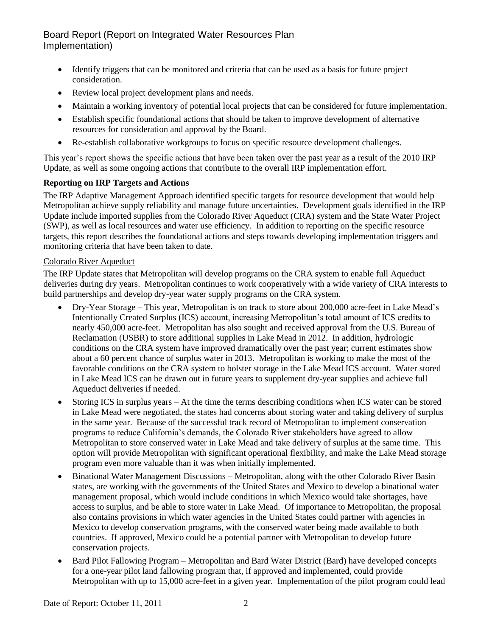- Identify triggers that can be monitored and criteria that can be used as a basis for future project consideration.
- Review local project development plans and needs.
- Maintain a working inventory of potential local projects that can be considered for future implementation.
- Establish specific foundational actions that should be taken to improve development of alternative resources for consideration and approval by the Board.
- Re-establish collaborative workgroups to focus on specific resource development challenges.

This year's report shows the specific actions that have been taken over the past year as a result of the 2010 IRP Update, as well as some ongoing actions that contribute to the overall IRP implementation effort.

### **Reporting on IRP Targets and Actions**

The IRP Adaptive Management Approach identified specific targets for resource development that would help Metropolitan achieve supply reliability and manage future uncertainties. Development goals identified in the IRP Update include imported supplies from the Colorado River Aqueduct (CRA) system and the State Water Project (SWP), as well as local resources and water use efficiency. In addition to reporting on the specific resource targets, this report describes the foundational actions and steps towards developing implementation triggers and monitoring criteria that have been taken to date.

### Colorado River Aqueduct

The IRP Update states that Metropolitan will develop programs on the CRA system to enable full Aqueduct deliveries during dry years. Metropolitan continues to work cooperatively with a wide variety of CRA interests to build partnerships and develop dry-year water supply programs on the CRA system.

- Dry-Year Storage This year, Metropolitan is on track to store about 200,000 acre-feet in Lake Mead's Intentionally Created Surplus (ICS) account, increasing Metropolitan's total amount of ICS credits to nearly 450,000 acre-feet. Metropolitan has also sought and received approval from the U.S. Bureau of Reclamation (USBR) to store additional supplies in Lake Mead in 2012. In addition, hydrologic conditions on the CRA system have improved dramatically over the past year; current estimates show about a 60 percent chance of surplus water in 2013. Metropolitan is working to make the most of the favorable conditions on the CRA system to bolster storage in the Lake Mead ICS account. Water stored in Lake Mead ICS can be drawn out in future years to supplement dry-year supplies and achieve full Aqueduct deliveries if needed.
- Storing ICS in surplus years At the time the terms describing conditions when ICS water can be stored in Lake Mead were negotiated, the states had concerns about storing water and taking delivery of surplus in the same year. Because of the successful track record of Metropolitan to implement conservation programs to reduce California's demands, the Colorado River stakeholders have agreed to allow Metropolitan to store conserved water in Lake Mead and take delivery of surplus at the same time. This option will provide Metropolitan with significant operational flexibility, and make the Lake Mead storage program even more valuable than it was when initially implemented.
- Binational Water Management Discussions Metropolitan, along with the other Colorado River Basin states, are working with the governments of the United States and Mexico to develop a binational water management proposal, which would include conditions in which Mexico would take shortages, have access to surplus, and be able to store water in Lake Mead. Of importance to Metropolitan, the proposal also contains provisions in which water agencies in the United States could partner with agencies in Mexico to develop conservation programs, with the conserved water being made available to both countries. If approved, Mexico could be a potential partner with Metropolitan to develop future conservation projects.
- Bard Pilot Fallowing Program Metropolitan and Bard Water District (Bard) have developed concepts for a one-year pilot land fallowing program that, if approved and implemented, could provide Metropolitan with up to 15,000 acre-feet in a given year. Implementation of the pilot program could lead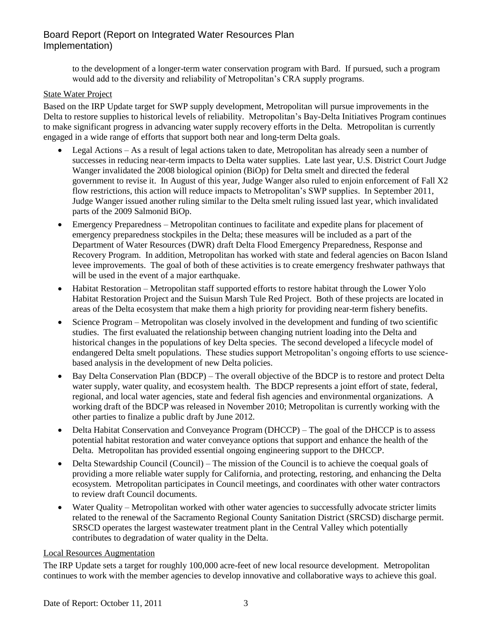to the development of a longer-term water conservation program with Bard. If pursued, such a program would add to the diversity and reliability of Metropolitan's CRA supply programs.

#### State Water Project

Based on the IRP Update target for SWP supply development, Metropolitan will pursue improvements in the Delta to restore supplies to historical levels of reliability. Metropolitan's Bay-Delta Initiatives Program continues to make significant progress in advancing water supply recovery efforts in the Delta. Metropolitan is currently engaged in a wide range of efforts that support both near and long-term Delta goals.

- Legal Actions As a result of legal actions taken to date, Metropolitan has already seen a number of successes in reducing near-term impacts to Delta water supplies. Late last year, U.S. District Court Judge Wanger invalidated the 2008 biological opinion (BiOp) for Delta smelt and directed the federal government to revise it. In August of this year, Judge Wanger also ruled to enjoin enforcement of Fall X2 flow restrictions, this action will reduce impacts to Metropolitan's SWP supplies. In September 2011, Judge Wanger issued another ruling similar to the Delta smelt ruling issued last year, which invalidated parts of the 2009 Salmonid BiOp.
- Emergency Preparedness Metropolitan continues to facilitate and expedite plans for placement of emergency preparedness stockpiles in the Delta; these measures will be included as a part of the Department of Water Resources (DWR) draft Delta Flood Emergency Preparedness, Response and Recovery Program. In addition, Metropolitan has worked with state and federal agencies on Bacon Island levee improvements. The goal of both of these activities is to create emergency freshwater pathways that will be used in the event of a major earthquake.
- Habitat Restoration Metropolitan staff supported efforts to restore habitat through the Lower Yolo Habitat Restoration Project and the Suisun Marsh Tule Red Project. Both of these projects are located in areas of the Delta ecosystem that make them a high priority for providing near-term fishery benefits.
- Science Program Metropolitan was closely involved in the development and funding of two scientific studies. The first evaluated the relationship between changing nutrient loading into the Delta and historical changes in the populations of key Delta species. The second developed a lifecycle model of endangered Delta smelt populations. These studies support Metropolitan's ongoing efforts to use sciencebased analysis in the development of new Delta policies.
- Bay Delta Conservation Plan (BDCP) The overall objective of the BDCP is to restore and protect Delta water supply, water quality, and ecosystem health. The BDCP represents a joint effort of state, federal, regional, and local water agencies, state and federal fish agencies and environmental organizations. A working draft of the BDCP was released in November 2010; Metropolitan is currently working with the other parties to finalize a public draft by June 2012.
- Delta Habitat Conservation and Conveyance Program (DHCCP) The goal of the DHCCP is to assess potential habitat restoration and water conveyance options that support and enhance the health of the Delta. Metropolitan has provided essential ongoing engineering support to the DHCCP.
- Delta Stewardship Council (Council) The mission of the Council is to achieve the coequal goals of providing a more reliable water supply for California, and protecting, restoring, and enhancing the Delta ecosystem. Metropolitan participates in Council meetings, and coordinates with other water contractors to review draft Council documents.
- Water Quality Metropolitan worked with other water agencies to successfully advocate stricter limits related to the renewal of the Sacramento Regional County Sanitation District (SRCSD) discharge permit. SRSCD operates the largest wastewater treatment plant in the Central Valley which potentially contributes to degradation of water quality in the Delta.

#### Local Resources Augmentation

The IRP Update sets a target for roughly 100,000 acre-feet of new local resource development. Metropolitan continues to work with the member agencies to develop innovative and collaborative ways to achieve this goal.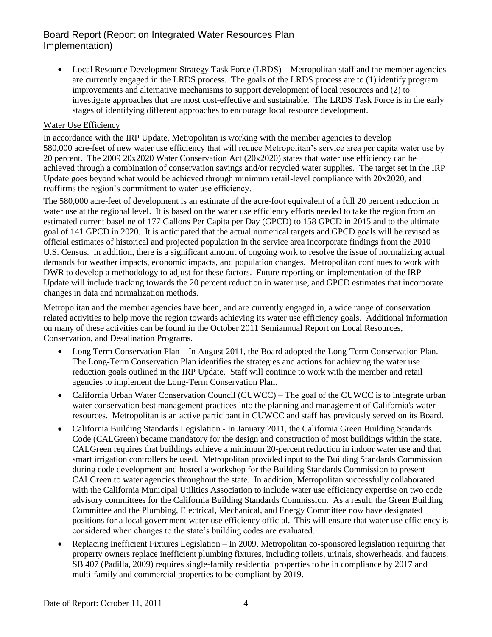• Local Resource Development Strategy Task Force (LRDS) – Metropolitan staff and the member agencies are currently engaged in the LRDS process. The goals of the LRDS process are to (1) identify program improvements and alternative mechanisms to support development of local resources and (2) to investigate approaches that are most cost-effective and sustainable. The LRDS Task Force is in the early stages of identifying different approaches to encourage local resource development.

### Water Use Efficiency

In accordance with the IRP Update, Metropolitan is working with the member agencies to develop 580,000 acre-feet of new water use efficiency that will reduce Metropolitan's service area per capita water use by 20 percent. The 2009 20x2020 Water Conservation Act (20x2020) states that water use efficiency can be achieved through a combination of conservation savings and/or recycled water supplies. The target set in the IRP Update goes beyond what would be achieved through minimum retail-level compliance with 20x2020, and reaffirms the region's commitment to water use efficiency.

The 580,000 acre-feet of development is an estimate of the acre-foot equivalent of a full 20 percent reduction in water use at the regional level. It is based on the water use efficiency efforts needed to take the region from an estimated current baseline of 177 Gallons Per Capita per Day (GPCD) to 158 GPCD in 2015 and to the ultimate goal of 141 GPCD in 2020. It is anticipated that the actual numerical targets and GPCD goals will be revised as official estimates of historical and projected population in the service area incorporate findings from the 2010 U.S. Census. In addition, there is a significant amount of ongoing work to resolve the issue of normalizing actual demands for weather impacts, economic impacts, and population changes. Metropolitan continues to work with DWR to develop a methodology to adjust for these factors. Future reporting on implementation of the IRP Update will include tracking towards the 20 percent reduction in water use, and GPCD estimates that incorporate changes in data and normalization methods.

Metropolitan and the member agencies have been, and are currently engaged in, a wide range of conservation related activities to help move the region towards achieving its water use efficiency goals. Additional information on many of these activities can be found in the October 2011 Semiannual Report on Local Resources, Conservation, and Desalination Programs.

- Long Term Conservation Plan In August 2011, the Board adopted the Long-Term Conservation Plan. The Long-Term Conservation Plan identifies the strategies and actions for achieving the water use reduction goals outlined in the IRP Update. Staff will continue to work with the member and retail agencies to implement the Long-Term Conservation Plan.
- California Urban Water Conservation Council (CUWCC) The goal of the CUWCC is to integrate urban water conservation best management practices into the planning and management of California's water resources. Metropolitan is an active participant in CUWCC and staff has previously served on its Board.
- California Building Standards Legislation In January 2011, the California Green Building Standards Code (CALGreen) became mandatory for the design and construction of most buildings within the state. CALGreen requires that buildings achieve a minimum 20-percent reduction in indoor water use and that smart irrigation controllers be used. Metropolitan provided input to the Building Standards Commission during code development and hosted a workshop for the Building Standards Commission to present CALGreen to water agencies throughout the state. In addition, Metropolitan successfully collaborated with the California Municipal Utilities Association to include water use efficiency expertise on two code advisory committees for the California Building Standards Commission. As a result, the Green Building Committee and the Plumbing, Electrical, Mechanical, and Energy Committee now have designated positions for a local government water use efficiency official. This will ensure that water use efficiency is considered when changes to the state's building codes are evaluated.
- Replacing Inefficient Fixtures Legislation In 2009, Metropolitan co-sponsored legislation requiring that property owners replace inefficient plumbing fixtures, including toilets, urinals, showerheads, and faucets. SB 407 (Padilla, 2009) requires single-family residential properties to be in compliance by 2017 and multi-family and commercial properties to be compliant by 2019.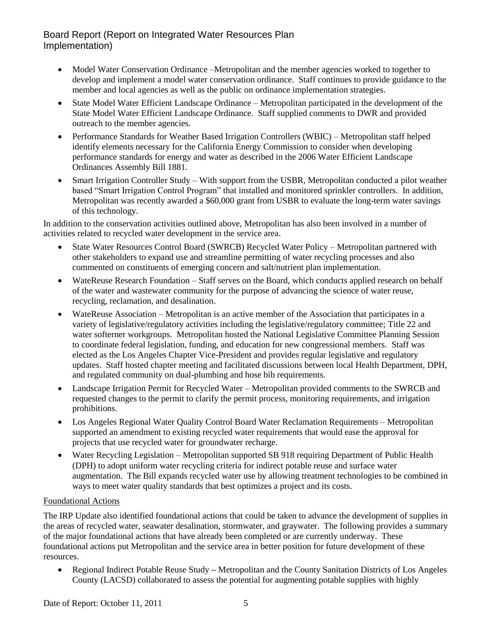- Model Water Conservation Ordinance –Metropolitan and the member agencies worked to together to develop and implement a model water conservation ordinance. Staff continues to provide guidance to the member and local agencies as well as the public on ordinance implementation strategies.
- State Model Water Efficient Landscape Ordinance Metropolitan participated in the development of the State Model Water Efficient Landscape Ordinance. Staff supplied comments to DWR and provided outreach to the member agencies.
- Performance Standards for Weather Based Irrigation Controllers (WBIC) Metropolitan staff helped identify elements necessary for the California Energy Commission to consider when developing performance standards for energy and water as described in the 2006 Water Efficient Landscape Ordinances Assembly Bill 1881.
- Smart Irrigation Controller Study With support from the USBR, Metropolitan conducted a pilot weather based "Smart Irrigation Control Program" that installed and monitored sprinkler controllers. In addition, Metropolitan was recently awarded a \$60,000 grant from USBR to evaluate the long-term water savings of this technology.

In addition to the conservation activities outlined above, Metropolitan has also been involved in a number of activities related to recycled water development in the service area.

- State Water Resources Control Board (SWRCB) Recycled Water Policy Metropolitan partnered with other stakeholders to expand use and streamline permitting of water recycling processes and also commented on constituents of emerging concern and salt/nutrient plan implementation.
- WateReuse Research Foundation Staff serves on the Board, which conducts applied research on behalf of the water and wastewater community for the purpose of advancing the science of water reuse, recycling, reclamation, and desalination.
- WateReuse Association Metropolitan is an active member of the Association that participates in a variety of legislative/regulatory activities including the legislative/regulatory committee; Title 22 and water softerner workgroups. Metropolitan hosted the National Legislative Committee Planning Session to coordinate federal legislation, funding, and education for new congressional members. Staff was elected as the Los Angeles Chapter Vice-President and provides regular legislative and regulatory updates. Staff hosted chapter meeting and facilitated discussions between local Health Department, DPH, and regulated community on dual-plumbing and hose bib requirements.
- Landscape Irrigation Permit for Recycled Water Metropolitan provided comments to the SWRCB and requested changes to the permit to clarify the permit process, monitoring requirements, and irrigation prohibitions.
- Los Angeles Regional Water Quality Control Board Water Reclamation Requirements Metropolitan supported an amendment to existing recycled water requirements that would ease the approval for projects that use recycled water for groundwater recharge.
- Water Recycling Legislation Metropolitan supported SB 918 requiring Department of Public Health (DPH) to adopt uniform water recycling criteria for indirect potable reuse and surface water augmentation. The Bill expands recycled water use by allowing treatment technologies to be combined in ways to meet water quality standards that best optimizes a project and its costs.

### Foundational Actions

The IRP Update also identified foundational actions that could be taken to advance the development of supplies in the areas of recycled water, seawater desalination, stormwater, and graywater. The following provides a summary of the major foundational actions that have already been completed or are currently underway. These foundational actions put Metropolitan and the service area in better position for future development of these resources.

 Regional Indirect Potable Reuse Study **–** Metropolitan and the County Sanitation Districts of Los Angeles County (LACSD) collaborated to assess the potential for augmenting potable supplies with highly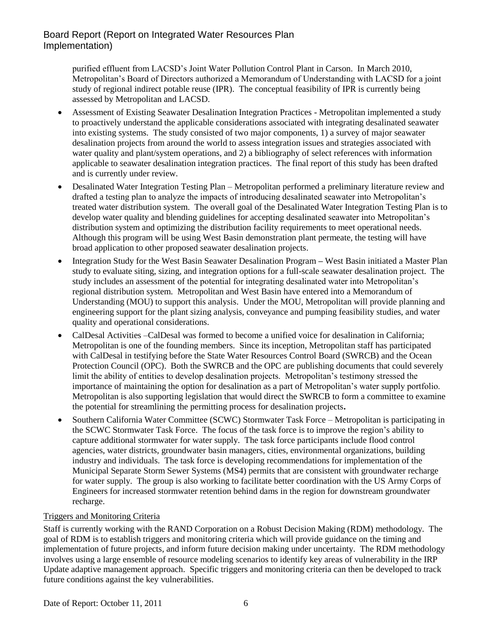purified effluent from LACSD's Joint Water Pollution Control Plant in Carson. In March 2010, Metropolitan's Board of Directors authorized a Memorandum of Understanding with LACSD for a joint study of regional indirect potable reuse (IPR). The conceptual feasibility of IPR is currently being assessed by Metropolitan and LACSD.

- Assessment of Existing Seawater Desalination Integration Practices Metropolitan implemented a study to proactively understand the applicable considerations associated with integrating desalinated seawater into existing systems. The study consisted of two major components, 1) a survey of major seawater desalination projects from around the world to assess integration issues and strategies associated with water quality and plant/system operations, and 2) a bibliography of select references with information applicable to seawater desalination integration practices. The final report of this study has been drafted and is currently under review.
- Desalinated Water Integration Testing Plan Metropolitan performed a preliminary literature review and drafted a testing plan to analyze the impacts of introducing desalinated seawater into Metropolitan's treated water distribution system. The overall goal of the Desalinated Water Integration Testing Plan is to develop water quality and blending guidelines for accepting desalinated seawater into Metropolitan's distribution system and optimizing the distribution facility requirements to meet operational needs. Although this program will be using West Basin demonstration plant permeate, the testing will have broad application to other proposed seawater desalination projects.
- Integration Study for the West Basin Seawater Desalination Program **–** West Basin initiated a Master Plan study to evaluate siting, sizing, and integration options for a full-scale seawater desalination project. The study includes an assessment of the potential for integrating desalinated water into Metropolitan's regional distribution system. Metropolitan and West Basin have entered into a Memorandum of Understanding (MOU) to support this analysis. Under the MOU, Metropolitan will provide planning and engineering support for the plant sizing analysis, conveyance and pumping feasibility studies, and water quality and operational considerations.
- CalDesal Activities –CalDesal was formed to become a unified voice for desalination in California; Metropolitan is one of the founding members. Since its inception, Metropolitan staff has participated with CalDesal in testifying before the State Water Resources Control Board (SWRCB) and the Ocean Protection Council (OPC). Both the SWRCB and the OPC are publishing documents that could severely limit the ability of entities to develop desalination projects. Metropolitan's testimony stressed the importance of maintaining the option for desalination as a part of Metropolitan's water supply portfolio. Metropolitan is also supporting legislation that would direct the SWRCB to form a committee to examine the potential for streamlining the permitting process for desalination projects**.**
- Southern California Water Committee (SCWC) Stormwater Task Force Metropolitan is participating in the SCWC Stormwater Task Force. The focus of the task force is to improve the region's ability to capture additional stormwater for water supply. The task force participants include flood control agencies, water districts, groundwater basin managers, cities, environmental organizations, building industry and individuals. The task force is developing recommendations for implementation of the Municipal Separate Storm Sewer Systems (MS4) permits that are consistent with groundwater recharge for water supply. The group is also working to facilitate better coordination with the US Army Corps of Engineers for increased stormwater retention behind dams in the region for downstream groundwater recharge.

### Triggers and Monitoring Criteria

Staff is currently working with the RAND Corporation on a Robust Decision Making (RDM) methodology. The goal of RDM is to establish triggers and monitoring criteria which will provide guidance on the timing and implementation of future projects, and inform future decision making under uncertainty. The RDM methodology involves using a large ensemble of resource modeling scenarios to identify key areas of vulnerability in the IRP Update adaptive management approach. Specific triggers and monitoring criteria can then be developed to track future conditions against the key vulnerabilities.